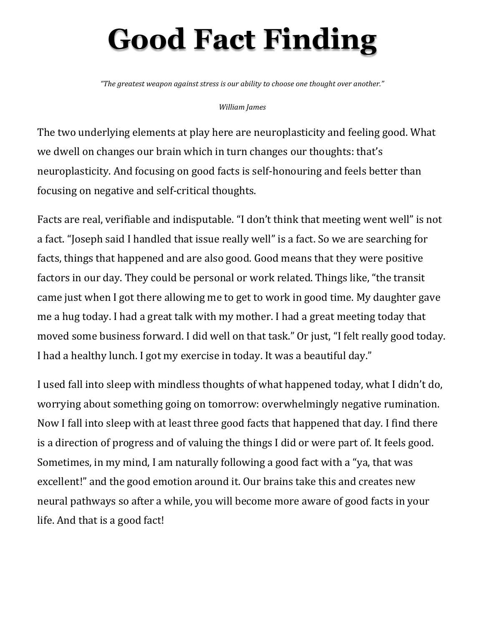# **Good Fact Finding**

*"The greatest weapon against stress is our ability to choose one thought over another."* 

#### *William James*

The two underlying elements at play here are neuroplasticity and feeling good. What we dwell on changes our brain which in turn changes our thoughts: that's neuroplasticity. And focusing on good facts is self-honouring and feels better than focusing on negative and self-critical thoughts.

Facts are real, verifiable and indisputable. "I don't think that meeting went well" is not a fact. "Joseph said I handled that issue really well" is a fact. So we are searching for facts, things that happened and are also good. Good means that they were positive factors in our day. They could be personal or work related. Things like, "the transit came just when I got there allowing me to get to work in good time. My daughter gave me a hug today. I had a great talk with my mother. I had a great meeting today that moved some business forward. I did well on that task." Or just, "I felt really good today. I had a healthy lunch. I got my exercise in today. It was a beautiful day."

I used fall into sleep with mindless thoughts of what happened today, what I didn't do, worrying about something going on tomorrow: overwhelmingly negative rumination. Now I fall into sleep with at least three good facts that happened that day. I find there is a direction of progress and of valuing the things I did or were part of. It feels good. Sometimes, in my mind, I am naturally following a good fact with a "ya, that was excellent!" and the good emotion around it. Our brains take this and creates new neural pathways so after a while, you will become more aware of good facts in your life. And that is a good fact!